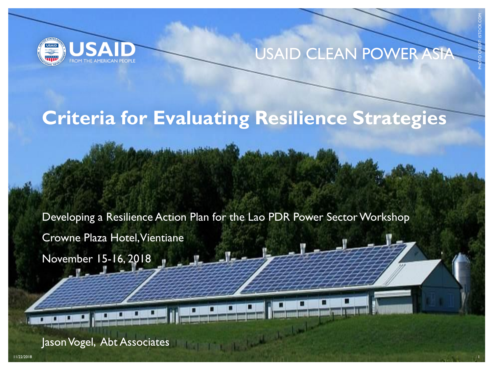

#### USAID CLEAN POWER ASIA

PHOTO CREDIT: ISTOCK.COM

#### **Criteria for Evaluating Resilience Strategies**

Developing a Resilience Action Plan for the Lao PDR Power Sector Workshop

 $-1$ 

11/22/2018 1

 $\frac{1}{2} \int_{\mathbb{R}^3} \frac{1}{\sqrt{2}} \, \frac{1}{\sqrt{2}} \, \frac{1}{\sqrt{2}} \, \frac{1}{\sqrt{2}} \, \frac{1}{\sqrt{2}} \, \frac{1}{\sqrt{2}} \, \frac{1}{\sqrt{2}} \, \frac{1}{\sqrt{2}} \, \frac{1}{\sqrt{2}} \, \frac{1}{\sqrt{2}} \, \frac{1}{\sqrt{2}} \, \frac{1}{\sqrt{2}} \, \frac{1}{\sqrt{2}} \, \frac{1}{\sqrt{2}} \, \frac{1}{\sqrt{2}} \, \frac{1}{\sqrt{2}} \, \frac{1}{\sqrt{2$ 

Crowne Plaza Hotel, Vientiane

November 15-16, 2018

Jason Vogel, Abt Associates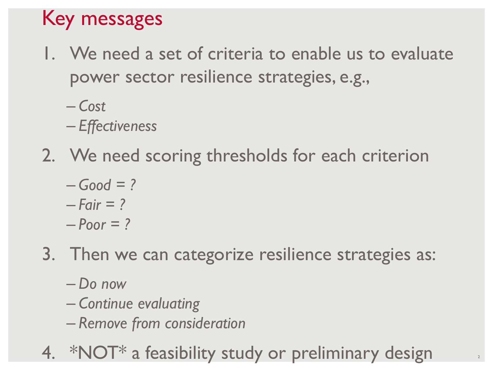## Key messages

- 1. We need a set of criteria to enable us to evaluate power sector resilience strategies, e.g.,
	- *Cost*
	- *Effectiveness*
- 2. We need scoring thresholds for each criterion
	- $-$  *Good* = ?
	- *Fair = ?*
	- *Poor = ?*
- 3. Then we can categorize resilience strategies as:
	- *Do now*
	- *Continue evaluating*
	- *Remove from consideration*
- 4. \*NOT\* a feasibility study or preliminary design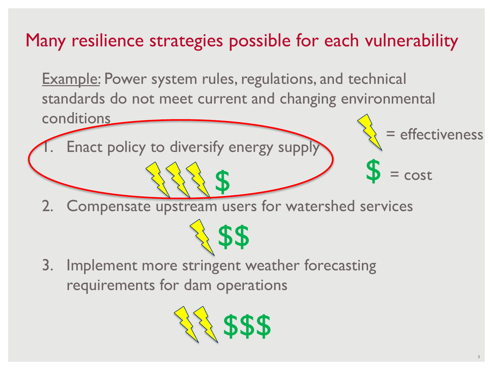#### Many resilience strategies possible for each vulnerability

Example: Power system rules, regulations, and technical standards do not meet current and changing environmental conditions effectiveness

Enact policy to diversify energy supply

\$ 2. Compensate upstream users for watershed services

\$\$

3. Implement more stringent weather forecasting requirements for dam operations



 $= cost$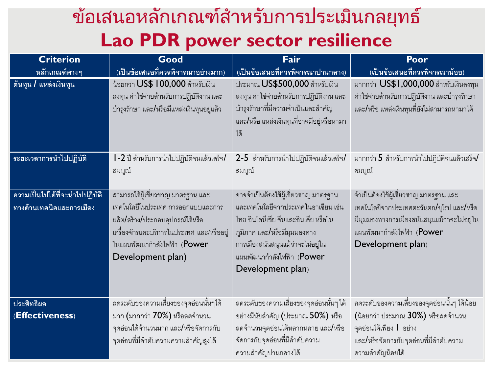#### ข้อเสนอหลักเกณฑ์สำหรับการประเมินกลยุทธ์  $\ddot{\phantom{0}}$ **Lao PDR power sector resilience**

| <b>Criterion</b>                                          | Good                                                                                                                                                                                                        | Fair                                                                                                                                                                                                                                       | Poor                                                                                                                                                                                 |  |
|-----------------------------------------------------------|-------------------------------------------------------------------------------------------------------------------------------------------------------------------------------------------------------------|--------------------------------------------------------------------------------------------------------------------------------------------------------------------------------------------------------------------------------------------|--------------------------------------------------------------------------------------------------------------------------------------------------------------------------------------|--|
| หลักเกณฑ์ต่างๆ                                            | (เป็นข้อเสนอที่ควรพิจารณาอย่างมาก)                                                                                                                                                                          | (เป็นข้อเสนอที่ควรพิจารณาปานกลาง)                                                                                                                                                                                                          | (เป็นข้อเสนอที่ควรพิจารณาน้อย)                                                                                                                                                       |  |
| ้ต้นทุน / แหล่งเงินทุน                                    | น้อยกว่า US\$ 100,000 สำหรับเงิน<br>ลงทุน ค่าใช่จ่ายสำหรับการปฏิบัติงาน และ<br>บำรุงรักษา และ/หรือมีแหล่งเงินทุนอยู่แล้ว                                                                                    | ประมาณ US\$500,000 สำหรับเงิน<br>ลงทุน ค่าใช่จ่ายสำหรับการปฏิบัติงาน และ<br>ู บำรุงรักษาที่มีความจำเป็นและสำคัญ<br>และ/หรือ แหล่งเงินทุนที่อาจมีอยู่หรือหามา<br>ได้                                                                        | มากกว่า US\$1,000,000 สำหรับเงินลงทุน<br>ค่าใช่จ่ายสำหรับการปฏิบัติงาน และบำรุงรักษา<br>และ/หรือ แหล่งเงินทุนที่ยังไม่สามารถหามาได้                                                  |  |
| ระยะเวลาการนำไปปฏิบัติ                                    | l -2 ปี ลำหรับการนำไปปฏิบัติจนแล้วเสร็จ/<br>สมบูณ์                                                                                                                                                          | 2-5 สำหรับการนำไปปฏิบัติจนแล้วเสร็จ/<br>สมบูณ์                                                                                                                                                                                             | มากกว่า 5 สำหรับการนำไปปฏิบัติจนแล้วเสร็จ/<br>สมบูณ์                                                                                                                                 |  |
| ความเป็นไปได้ที่จะนำไปปฏิบัติ<br>ทางด้านเทคนิคและการเมือง | สามารถใช้ผู้เชี่ยวชาญ มาตรฐาน และ<br>เทคโนโลยี่ในประเทศ การออกแบบและการ<br>ผลิต/สร้าง/ประกอบอุปกรณ์ใช้หรือ<br>เครื่องจักรและบริการในประเทศ และ/หรืออยู่<br>ในแผนพัฒนากำลังไฟฟ้า (Power<br>Development plan) | ้อาจจำเป็นต้องใช้ผู้เชี่ยวชาญ มาตรฐาน<br>และเทคโนโลยีจากประเทศในอาเซียน เช่น<br>ไทย อินโดนีเซีย จีนและอินเดีย หรือใน<br>ภูมิภาค และ/หรือมีมุมมองทาง<br>การเมืองสนันสนุนแม้ว่าจะไม่อยู่ใน<br>แผนพัฒนากำลังไฟฟ้า (Power<br>Development plan) | ้จำเป็นต้องใช้ผู้เชี่ยวชาญ มาตรฐาน และ<br>เทคโนโลยีจากประเทศตะวันตก/ยุโรป และ/หรือ<br>มีมุมมองทางการเมืองสนันสนุนแม้ว่าจะไม่อยู่ใน<br>แผนพัฒนากำลังไฟฟ้า (Power<br>Development plan) |  |
| ประสิทธิผล<br>(Effectiveness)                             | ลดระดับของความเสี่ยงของจุดอ่อนนั้นๆได้<br>มาก (มากกว่า 70%) หรือลดจำนวน<br>จุดอ่อนได้จำนวนมาก และ <b>/</b> หรือจัดการกับ<br>จุดอ่อนที่มีลำดับความความสำคัญสูงได้                                            | ิลดระดับของความเสี่ยงของจุดอ่อนนั้นๆ ได้<br>อย่างมีนัยสำคัญ (ประมาณ 50%) หรือ<br>ิลดจำนวนจุดอ่อนได้หลากหลาย และ/หรือ<br>จัดการกับจุดอ่อนที่มีลำดับความ<br>ความสำคัญปานกลางได้                                                              | ิลดระดับของความเสี่ยงของจุดอ่อนนั้นๆ ได้น้อย<br>(น้อยกว่า ประมาณ 30%) หรือลดจำนวน<br>จุดอ่อนได้เพียง   อย่าง<br>และ/หรือจัดการกับจุดอ่อนที่มีลำดับความ<br>ความสำคัญน้อยได้           |  |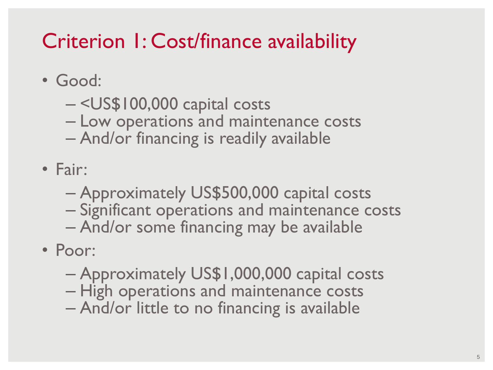## Criterion 1: Cost/finance availability

- Good:
	- <US\$100,000 capital costs
	- Low operations and maintenance costs
	- And/or financing is readily available
- Fair:
	- Approximately US\$500,000 capital costs
	- Significant operations and maintenance costs
	- And/or some financing may be available
- Poor:
	- Approximately US\$1,000,000 capital costs
	- High operations and maintenance costs
	- And/or little to no financing is available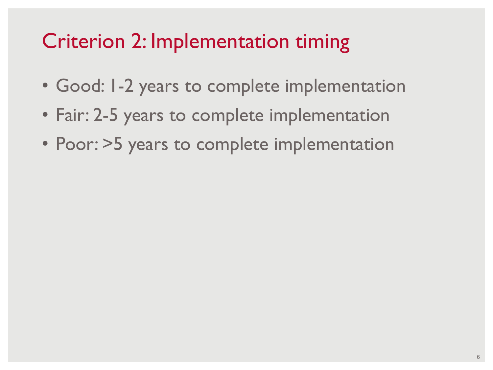### Criterion 2: Implementation timing

- Good: 1-2 years to complete implementation
- Fair: 2-5 years to complete implementation
- Poor: >5 years to complete implementation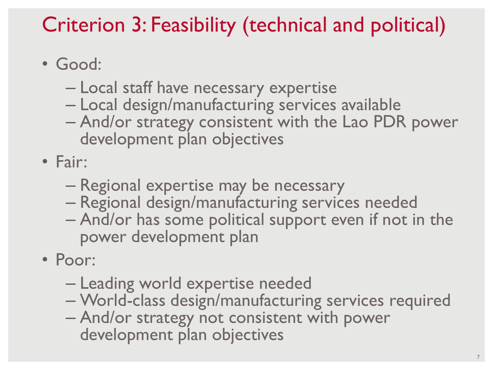## Criterion 3: Feasibility (technical and political)

- Good:
	- Local staff have necessary expertise
	- Local design/manufacturing services available
	- And/or strategy consistent with the Lao PDR power development plan objectives
- Fair:
	- Regional expertise may be necessary
	- Regional design/manufacturing services needed
	- And/or has some political support even if not in the power development plan
- Poor:
	- Leading world expertise needed
	- World-class design/manufacturing services required
	- And/or strategy not consistent with power development plan objectives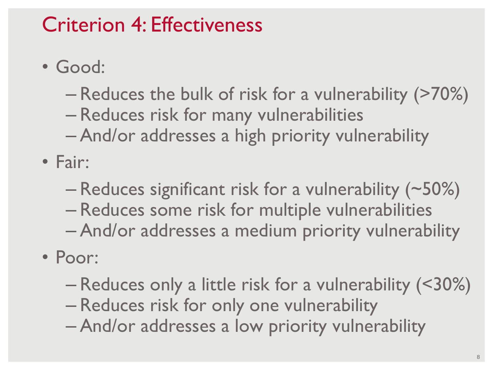### Criterion 4: Effectiveness

• Good:

– Reduces the bulk of risk for a vulnerability (>70%)

- Reduces risk for many vulnerabilities
- And/or addresses a high priority vulnerability
- Fair:
	- Reduces significant risk for a vulnerability (~50%)
	- Reduces some risk for multiple vulnerabilities
	- And/or addresses a medium priority vulnerability
- Poor:
	- Reduces only a little risk for a vulnerability (<30%)
	- Reduces risk for only one vulnerability
	- And/or addresses a low priority vulnerability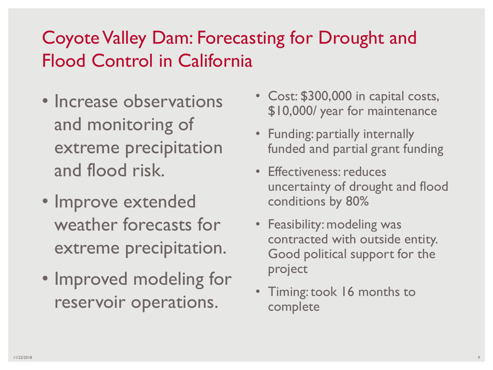#### Coyote Valley Dam: Forecasting for Drought and Flood Control in California

- Increase observations and monitoring of extreme precipitation and flood risk.
- Improve extended weather forecasts for extreme precipitation.
- Improved modeling for reservoir operations.
- Cost: \$300,000 in capital costs, \$10,000/ year for maintenance
- Funding: partially internally funded and partial grant funding
- Effectiveness: reduces uncertainty of drought and flood conditions by 80%
- Feasibility: modeling was contracted with outside entity. Good political support for the project
- Timing: took 16 months to complete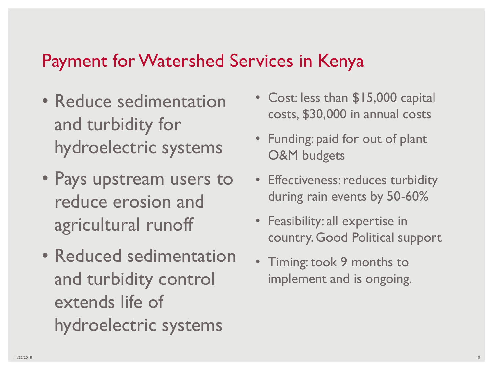#### Payment for Watershed Services in Kenya

- Reduce sedimentation and turbidity for hydroelectric systems
- Pays upstream users to reduce erosion and agricultural runoff
- Reduced sedimentation and turbidity control extends life of hydroelectric systems
- Cost: less than \$15,000 capital costs, \$30,000 in annual costs
- Funding: paid for out of plant O&M budgets
- Effectiveness: reduces turbidity during rain events by 50-60%
- Feasibility: all expertise in country. Good Political support
- Timing: took 9 months to implement and is ongoing.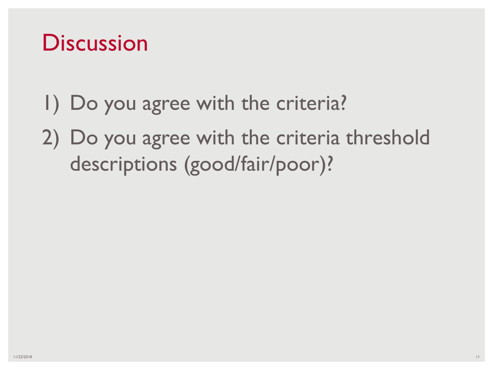## **Discussion**

- 1) Do you agree with the criteria?
- 2) Do you agree with the criteria threshold descriptions (good/fair/poor)?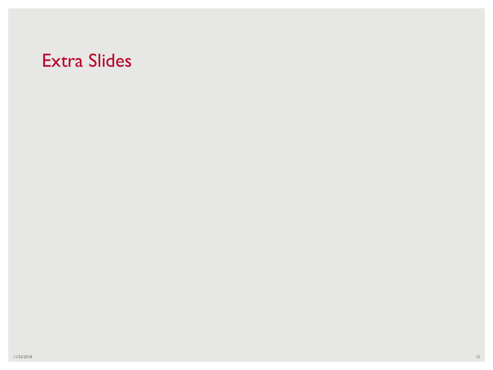#### Extra Slides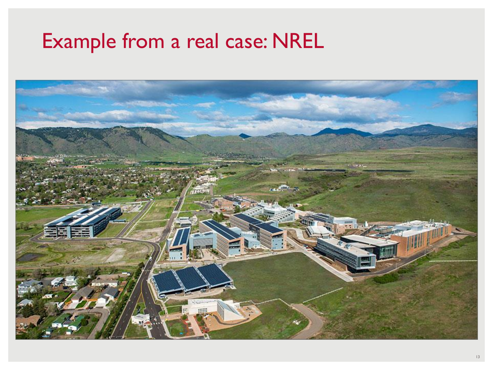## Example from a real case: NREL

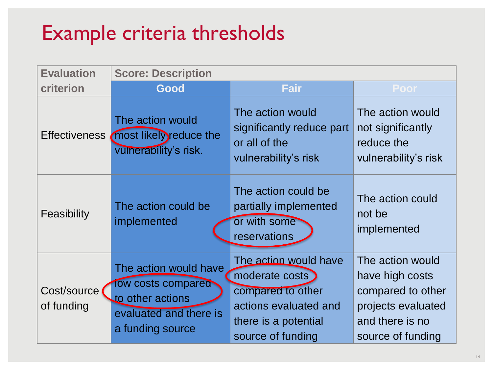## Example criteria thresholds

| <b>Evaluation</b>         | <b>Score: Description</b>                                                                                     |                                                                                                                                      |                                                                                                                        |  |  |  |  |
|---------------------------|---------------------------------------------------------------------------------------------------------------|--------------------------------------------------------------------------------------------------------------------------------------|------------------------------------------------------------------------------------------------------------------------|--|--|--|--|
| criterion                 | Good                                                                                                          | <b>Fair</b>                                                                                                                          | <b>Poor</b>                                                                                                            |  |  |  |  |
| <b>Effectiveness</b>      | The action would<br>most likely reduce the<br>vulnerability's risk.                                           | The action would<br>significantly reduce part<br>or all of the<br>vulnerability's risk                                               | The action would<br>not significantly<br>reduce the<br>vulnerability's risk                                            |  |  |  |  |
| Feasibility               | The action could be<br>implemented                                                                            | The action could be<br>partially implemented<br>or with some<br>reservations                                                         | The action could<br>not be<br>implemented                                                                              |  |  |  |  |
| Cost/source<br>of funding | The action would have<br>Tow costs compared<br>to other actions<br>evaluated and there is<br>a funding source | The action would have<br>moderate costs )<br>compared to other<br>actions evaluated and<br>there is a potential<br>source of funding | The action would<br>have high costs<br>compared to other<br>projects evaluated<br>and there is no<br>source of funding |  |  |  |  |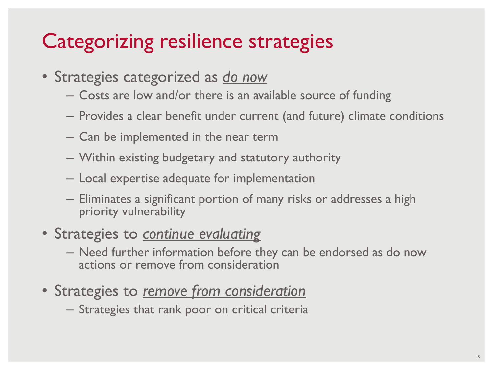## Categorizing resilience strategies

- Strategies categorized as *do now*
	- Costs are low and/or there is an available source of funding
	- Provides a clear benefit under current (and future) climate conditions
	- Can be implemented in the near term
	- Within existing budgetary and statutory authority
	- Local expertise adequate for implementation
	- Eliminates a significant portion of many risks or addresses a high priority vulnerability
- Strategies to *continue evaluating*
	- Need further information before they can be endorsed as do now actions or remove from consideration
- Strategies to *remove from consideration*
	- Strategies that rank poor on critical criteria